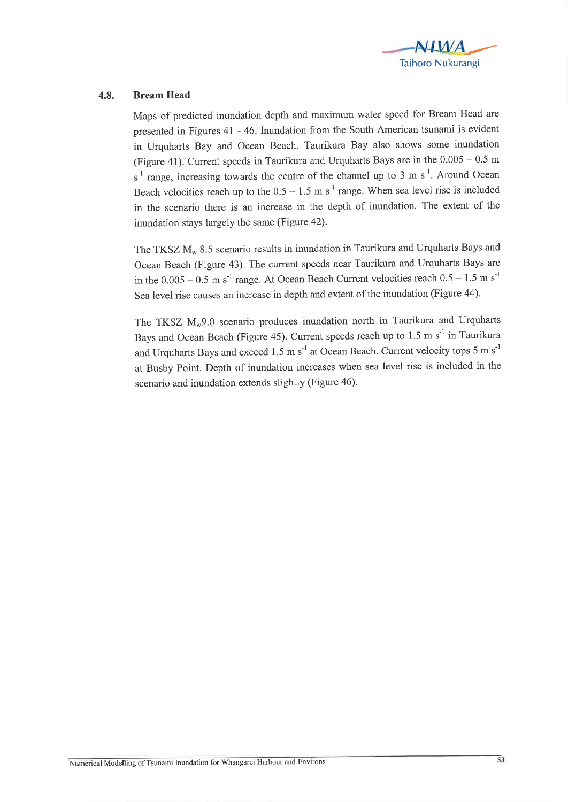

## 4.8. Bream Head

Maps of predicted inundation depth and maximum water speed for Bream Head are presented in Figures 4l - 46.Inundation from the South American tsunami is evident in Urquharts Bay and Ocean Beach. Taurikura Bay also shows some inundation (Figure 41). Current speeds in Taurikura and Urquharts Bays are in the  $0.005 - 0.5$  m  $s<sup>-1</sup>$  range, increasing towards the centre of the channel up to 3 m  $s<sup>-1</sup>$ . Around Ocean Beach velocities reach up to the  $0.5 - 1.5$  m s<sup>-1</sup> range. When sea level rise is included in the scenario there is an increase in the depth of inundation. The extent of the inundation stays largely the same (Figure 42).

The TKSZ  $M_w$  8.5 scenario results in inundation in Taurikura and Urquharts Bays and Ocean Beach (Figure 43). The current speeds near Taurikura and Urquharts Bays are in the  $0.005 - 0.5$  m s<sup>-1</sup> range. At Ocean Beach Current velocities reach  $0.5 - 1.5$  m s<sup>-1</sup> Sea level rise causes an increase in depth and extent of the inundation (Figure 44).

The TKSZ  $M_w$ 9.0 scenario produces inundation north in Taurikura and Urquharts Bays and Ocean Beach (Figure 45). Current speeds reach up to  $1.5 \text{ m s}^{-1}$  in Taurikura and Urquharts Bays and exceed 1.5 m  $s^{-1}$  at Ocean Beach. Current velocity tops 5 m  $s^{-1}$ at Busby Point. Depth of inundation increases when sea level rise is included in the scenario and inundation extends slightly (Figure 46).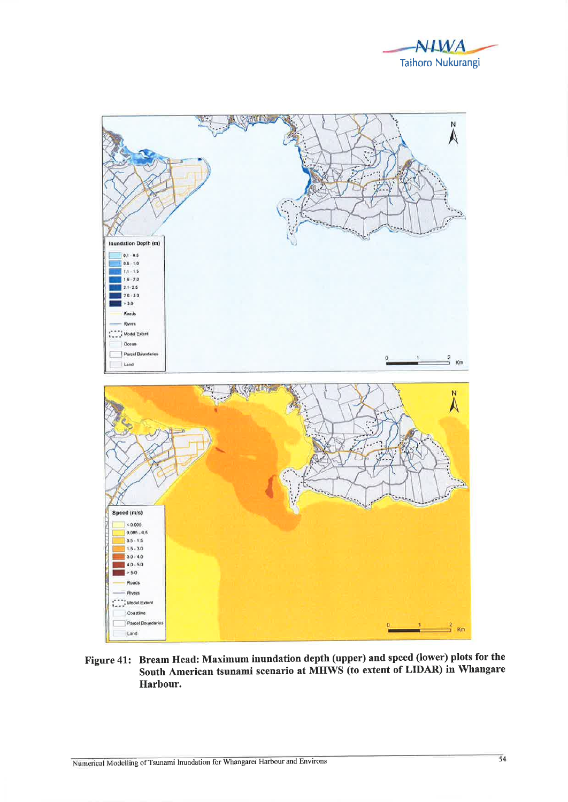



Figure 41: Bream Head: Maximum inundation depth (upper) and speed (lower) plots for the South American tsunami scenario at MHWS (to extent of LIDAR) in Whangare Harbour.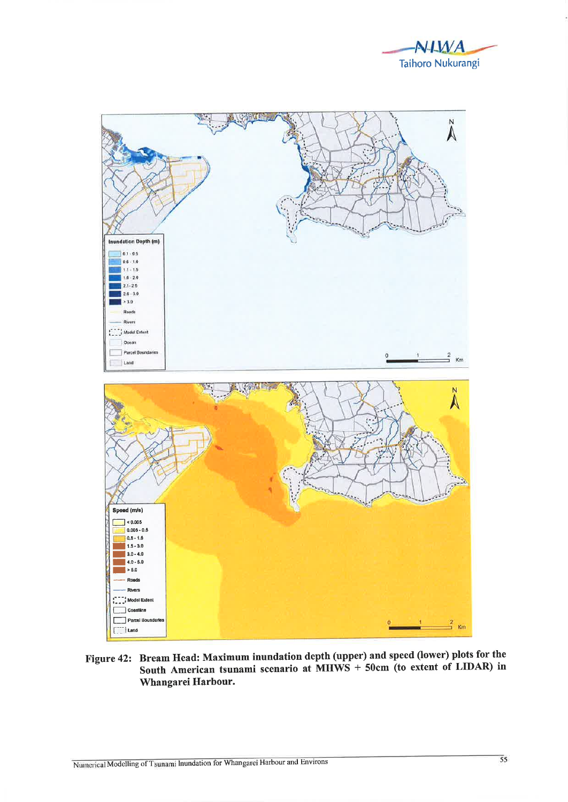



Figure 42: Bream Head: Maximum inundation depth (upper) and speed (lower) plots for the South American tsunami scenario at MHWS + 50cm (to extent of LIDAR) in Whangarei Harbour.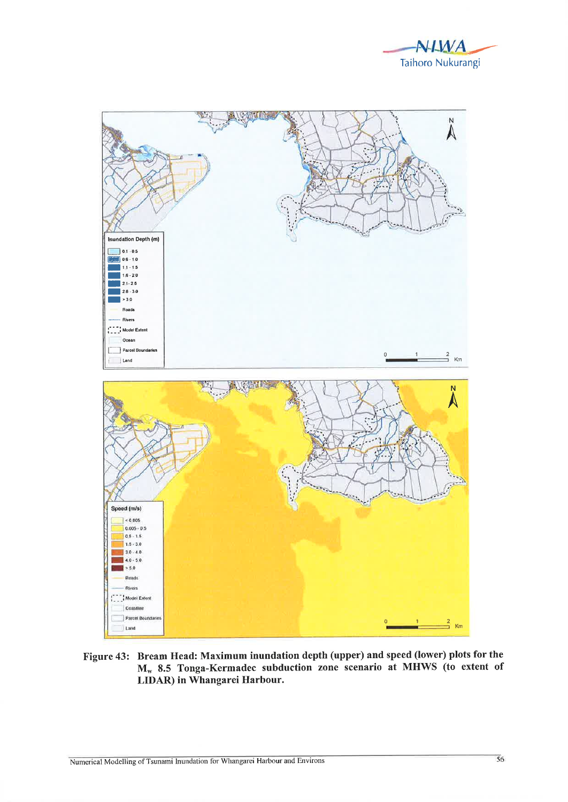



Figure 43: Bream Head: Maximum inundation depth (upper) and speed (lower) plots for the M<sub>w</sub> 8.5 Tonga-Kermadec subduction zone scenario at MHWS (to extent of LIDAR) in Whangarei Harbour.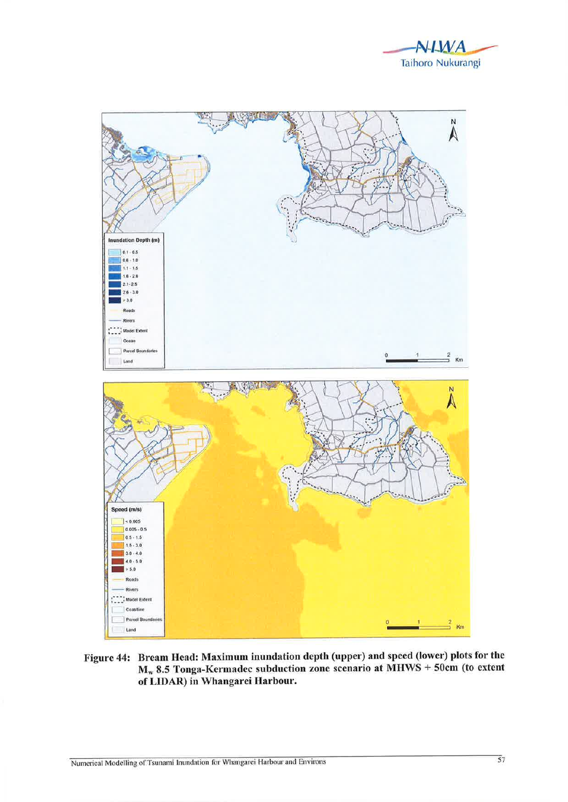



Figure 44: Bream Head: Maximum inundation depth (upper) and speed (lower) plots for the  $M_w$  8.5 Tonga-Kermadec subduction zone scenario at MHWS + 50cm (to extent of LIDAR) in Whangarei Harbour.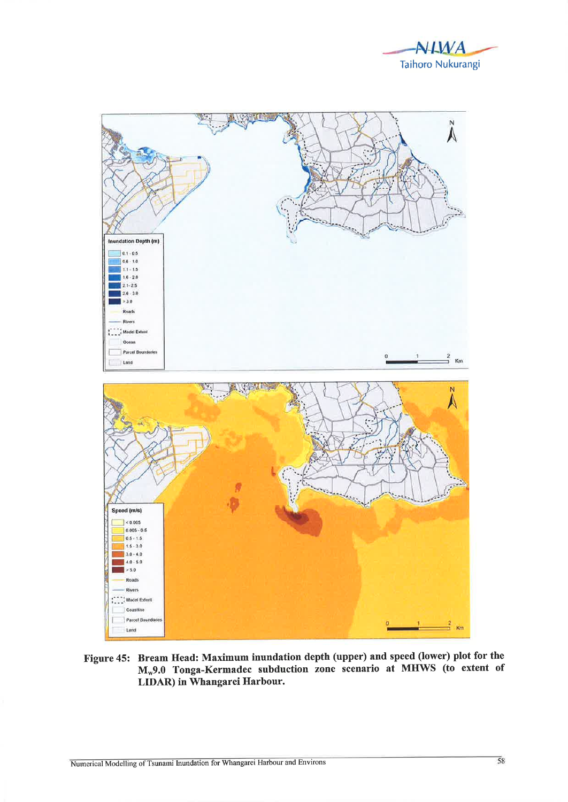



Figure 45: Bream Head: Maximum inundation depth (upper) and speed (lower) plot for the M\*9.0 Tonga-Kermadec subduction zone scenario at MHWS (to extent of LIDAR) in Whangarei Harbour.